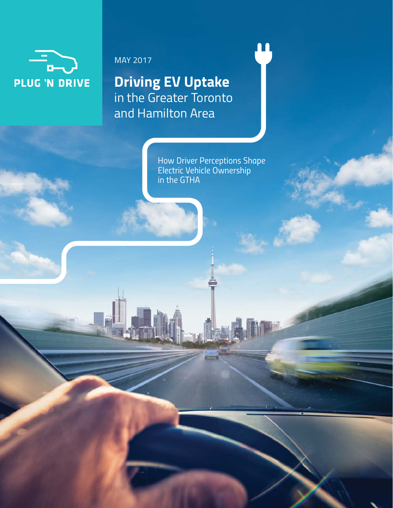

### MAY 2017

**Driving EV Uptake** in the Greater Toronto and Hamilton Area

> *How Driver Perceptions Shape Electric Vehicle Ownership in the GTHA*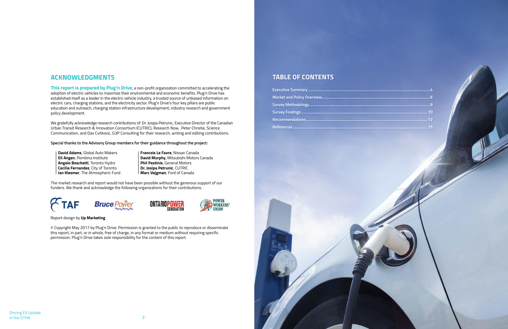| <u> 10 maande, maar (10 maande, 10 maande, 10 maande, 10 maande, 10 maande, 10 maande, 10 maande, 10 maande, 10 maande, 10 maande, 10 maande, 10 maande, 10 maande, 10 maande, 10 maande, 10 maande, 10 maande, 10 maande, 10 ma</u> |  |
|--------------------------------------------------------------------------------------------------------------------------------------------------------------------------------------------------------------------------------------|--|
|                                                                                                                                                                                                                                      |  |
|                                                                                                                                                                                                                                      |  |

# **TABLE OF CONTENTS**

# **Executive Summary ...........................................................................................................................4 Market and Policy Overview................................... Survey Methodology..........................................................................................................................9 Survey Findings ............................................................................................................................... 10 Recommendations .......................................................................................................................... 12 References ....................................................................................................................................... 15**

# **ACKNOWLEDGMENTS**

**This report is prepared by Plug'n Drive**, a non-profit organization committed to accelerating the adoption of electric vehicles to maximize their environmental and economic benefits. Plug'n Drive has established itself as a leader in the electric vehicle industry, a trusted source of unbiased information on electric cars, charging stations, and the electricity sector. Plug'n Drive's four key pillars are public education and outreach, charging station infrastructure development, industry research and government policy development.

We gratefully acknowledge research contributions of: Dr. Josipa Petrunic, Executive Director of the Canadian Urban Transit Research & Innovation Consortium (CUTRIC), Research Now, Peter Christie, Science Communication, and Dav Cvitkovic, G3P Consulting for their research, writing and editing contributions.

**Special thanks to the Advisory Group members for their guidance throughout the project:**

**David Adams**, Global Auto Makers **Francois Le Favre**, Nissan Canada **Angelo Boschetti**, Toronto Hydro **Phil Pestinis**, General Motors **Cecilia Fernandez**, City of Toronto **Dr. Josipa Petrunic**, CUTRIC **Ian Klesmer**, The Atmospheric Fund **Marc Vejgman**, Ford of Canada

**Eli Angen**, Pembina Institute **David Murphy**, Mitsubishi Motors Canada

The market research and report would not have been possible without the generous support of our funders. We thank and acknowledge the following organizations for their contributions:









#### Report design by **Up Marketing**

© Copyright May 2017 by Plug'n Drive. Permission is granted to the public to reproduce or disseminate this report, in part, or in whole, free of charge, in any format or medium without requiring specific permission. Plug'n Drive takes sole responsibility for the content of this report.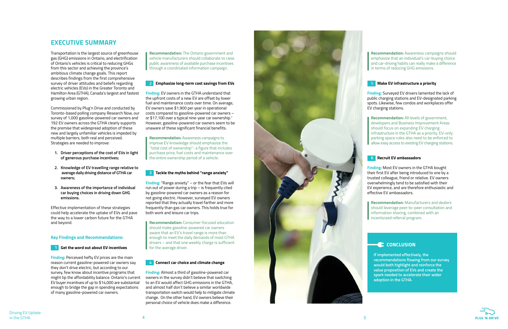Driving EV Uptake in the GTHA

**Recommendation:** The Ontario government and vehicle manufacturers should collaborate to raise public awareness of available purchase incentives through a coordinated information campaign.

### **2 Emphasize long-term cost savings from EVs**

**Finding:** EV owners in the GTHA understand that the upfront costs of a new EV are offset by lower fuel and maintenance costs over time. On average, EV owners save \$1,900 per year in operational costs compared to gasoline-powered car owners – or \$17,100 over a typical nine-year car ownership. 1 However, gasoline-powered car owners seem to be unaware of these significant financial benefits.

**Recommendation:** Awareness campaigns to improve EV knowledge should emphasize the ''total cost of ownership''- a figure that includes purchase price, fuel costs and maintenance over the entire ownership period of a vehicle.

### **3 Tackle the myths behind "range anxiety"**

**Finding:** "Range anxiety" – or the fear that EVs will run out of power during a trip – is frequently cited by gasoline-powered car owners as a reason for not going electric. However, surveyed EV owners reported that they actually travel farther and more frequently than gas car owners. This holds true for both work and leisure car trips.

**Recommendation:** Consumer-focused education should make gasoline-powered car owners aware that an EV's travel range is more than enough to meet the daily demands of most GTHA drivers – and that one weekly charge is sufficient for the average driver.



#### **4 Connect car choice and climate change**

**Finding:** Almost a third of gasoline-powered car owners in the survey didn't believe that switching to an EV would affect GHG emissions in the GTHA, and almost half don't believe a similar worldwide transportation switch would help to mitigate climate change. On the other hand, EV owners believe their personal choice of vehicle does make a difference.



# **EXECUTIVE SUMMARY**

Transportation is the largest source of greenhouse gas (GHG) emissions in Ontario, and electrification of Ontario's vehicles is critical to reducing GHGs from this sector and achieving the province's ambitious climate change goals. This report describes findings from the first comprehensive survey of driver attitudes and beliefs regarding electric vehicles (EVs) in the Greater Toronto and Hamilton Area (GTHA), Canada's largest and fastest growing urban region.

Commissioned by Plug'n Drive and conducted by Toronto-based polling company Research Now, our survey of 1,000 gasoline-powered car owners and 192 EV owners across the GTHA clearly supports the premise that widespread adoption of these new and largely unfamiliar vehicles is impeded by multiple barriers, both real and perceived. Strategies are needed to improve:

- **1. Driver perceptions of the cost of EVs in light of generous purchase incentives;**
- **2. Knowledge of EV travelling range relative to average daily driving distance of GTHA car owners;**
- **3. Awareness of the importance of individual car buying choices in driving down GHG emissions.**

Effective implementation of these strategies could help accelerate the uptake of EVs and pave the way to a lower carbon future for the GTHA and beyond.

#### **Key Findings and Recommendations:**



**Finding:** Perceived hefty EV prices are the main reason current gasoline-powered car owners say they don't drive electric, but according to our survey, few know about incentive programs that might tip the affordability balance. Ontario's current EV buyer incentives of up to \$14,000 are substantial enough to bridge the gap in spending expectations of many gasoline-powered car owners.

**If implemented effectively, the recommendations flowing from our survey would both highlight and reinforce the value proposition of EVs and create the spark needed to accelerate their wider adoption in the GTHA.**



**Recommendation:** Awareness campaigns should emphasize that an individual's car-buying choice and car-driving habits can really make a difference in terms of reducing GHG emissions.

#### 5 **Make EV infrastructure a priority**

**Finding:** Surveyed EV drivers lamented the lack of public charging stations and EV-designated parking spots. Likewise, few condos and workplaces offer EV charging stations.

**Recommendation:** All levels of government, developers and Business Improvement Areas should focus on expanding EV charging infrastructure in the GTHA as a priority. EV-only parking space rules also need to be enforced to allow easy access to existing EV charging stations.

#### **6 Recruit EV ambassadors**

**Finding:** Most EV owners in the GTHA bought their first EV after being introduced to one by a trusted colleague, friend or relative. EV owners overwhelmingly tend to be satisfied with their EV experience, and are therefore enthusiastic and effective EV ambassadors.

**Recommendation:** Manufacturers and dealers should leverage peer-to-peer consultation and information sharing, combined with an incentivized referral program.

### **C** CONCLUSION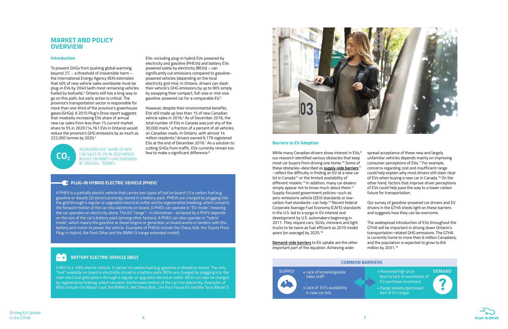To prevent GHGs from pushing global warming beyond 2˚C – a threshold of irreversible harm – the International Energy Agency (IEA) estimates that 40% of new vehicle sales worldwide must be plug-in EVs by 2040 (with most remaining vehicles fueled by biofuels).<sup>2</sup> Ontario still has a long way to go on this path, but early action is critical. The province's transportation sector is responsible for more than one-third of the province's greenhouse gases (GHGs). A 2015 Plug'n Drive report suggests that modestly increasing EVs share of annual new car sales from less than 1% current market share to 5% in 2020 (14,161 EVs in Ontario) would reduce the province's GHG emissions by as much as 222,000 tonnes by 2020.<sup>2</sup>

**CO<sub>2</sub>** 

### **MARKET AND POLICY OVERVIEW**

#### **Introduction**

However, despite their environmental benefits, EVs still made up less than 1% of new Canadian vehicle sales in 2016.<sup>4</sup> As of December 2016, the total number of EVs in Canada was just shy of the 30,000 mark,<sup>5</sup> a fraction of a percent of all vehicles on Canadian roads. In Ontario, with almost 14 million residents,<sup>6</sup> drivers owned 9,179 registered EVs at the end of December 2016.<sup>7</sup> As a solution to cutting GHGs from traffic, EVs currently remain too few to make a significant difference.<sup>8</sup>

### **E** PLUG-IN HYBRID ELECTRIC VEHICLE (PHEV)

EVs–including plug-in hybrid EVs powered by electricity and gasoline (PHEVs) and battery EVs powered solely by electricity (BEVs) – can significantly cut emissions compared to gasolinepowered vehicles (depending on the local electricity grid mix). In Ontario, drivers can slash their vehicle's GHG emissions by up to 90% simply by swapping their compact, full-size or mid-size gasoline-powered car for a comparable EV.3

> While many Canadian drivers show interest in EVs,<sup>9</sup> our research identified various obstacles that keep most car buyers from driving one home.10 Some of these obstacles–described as **supply-side barriers**<sup>11</sup> –reflect the difficulty in finding an EV at a new car lot in Canada<sup>12</sup> or the limited availability of different models.<sup>13</sup> In addition, many car dealers simply appear not to know much about them.<sup>14</sup> Supply-focused government policies–such as zero-emissions vehicle (ZEV) standards or lowcarbon fuel standards–can help.15 Recent federal Corporate Average Fuel Economy (CAFE) standards in the U.S. led to a surge in EV interest and development by U.S. automakers beginning in 2011. They require cars, SUVs, minivans and light trucks to be twice as fuel efficient as 2010 model years (on average) by 2025.16

#### **Barriers to EV Adoption**

The widespread introduction of EVs throughout the GTHA will be important in driving down Ontario's transportation-related GHG emissions. The GTHA is currently home to more than 6 million Canadians, and the population is expected to grow to 8.6 million by 2031.<sup>19</sup>

- **SUPPLY** Lack of knowledgeable **COVID-10** Perceived high price **DEMAND** (tied to lack of awareness of EV purchase incentives)
	- Range anxiety (perceived lack of EV range)





**Demand-side barriers** to EV uptake are the other important part of the equation. Achieving wide-

A BEV is a 100% electric vehicle. It carries no carbon fuel (e.g. gasoline or diesel) on board. The only "fuel" available on board is electricity stored in a battery pack. BEVs are charged by plugging into the main electrical grid system through a regular or upgraded electrical outlet. BEVs can also be charged by regenerative braking, which converts the forward motion of the car into electricity. Examples of BEVs include the Nissan Leaf, the BMW i3, the Chevy Bolt,, the Ford Focus EV and the Tesla Model S.



A PHEV is a partially electric vehicle that carries two types of fuel on board: (1) a carbon fuel (e.g. gasoline or diesel); (2) electrical energy stored in a battery pack. PHEVs are charged by plugging into the grid through a regular or upgraded electrical outlet and by regenerative breaking, which converts the forward motion of the car into electricity on board. A PHEV can operate in "EV mode", meaning the car operates on electricity alone. The EV "range" - in kilometres - achieved by a PHEV depends on the size of the car's battery pack (among other factors). A PHEV can also operate in "hybrid mode", which means the gasoline or diesel engine or generator on board works in tandem with the battery and motor to power the vehicle. Examples of PHEVs include the Chevy Volt, the Toyota Prius Plug-in Hybrid, the Ford CMax and the BMW i3 (range extended model).

#### **BATTERY ELECTRIC VEHICLE (BEV) - +**

INCREASING EVS' SHARE OF NEW CAR SALES TO 5% IN 2020 WOULD REDUCE ONTARIO'S GHG EMISSIONS BY 200,000+ TONNES.

spread acceptance of these new and largely unfamiliar vehicles depends mainly on improving consumer perceptions of EVs.17 For example, concerns regarding cost and insufficient range could help explain why most drivers still steer clear of EVs when buying a new car in Canada.<sup>18</sup> On the other hand, factors that improve driver perceptions of EVs could help pave the way to a lower carbon future for transportation.

Our survey of gasoline-powered car drivers and EV drivers in the GTHA sheds light on these barriers and suggests how they can be overcome.

#### **COMMON BARRIERS**



• Lack of EV's availability in new car lots

sales staff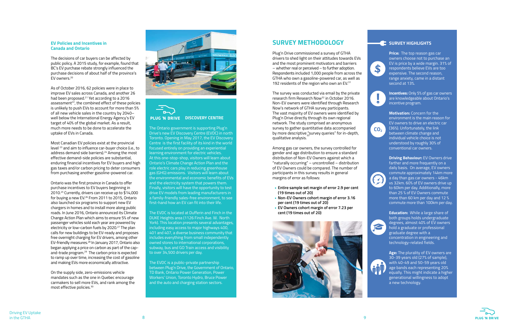

### SURVEY HIGHLIGHTS

#### **EV Policies and Incentives in Canada and Ontario**

The decisions of car buyers can be affected by public policy. A 2015 study, for example, found that BC's EV purchase rebate strongly influenced the purchase decisions of about half of the province's EV owners.20

As of October 2016, 62 policies were in place to improve EV sales across Canada, and another 26 had been proposed.21 Yet according to a 2016 assessment $^{22}$ , the combined effect of these policies is unlikely to push EVs to account for more than 5% of all new vehicle sales in the country by 2040– well below the International Energy Agency's EV target of 40% of the global market. As a result, much more needs to be done to accelerate the uptake of EVs in Canada.

Most Canadian EV policies exist at the provincial level 23 and aim to influence car-buyer choice (i.e., to address demand side barriers).<sup>24</sup> Among the most effective demand-side policies are substantial, enduring financial incentives for EV buyers and high gas taxes and/or carbon pricing to deter consumers from purchasing another gasoline-powered car.

Ontario was the first province in Canada to offer purchase incentives to EV buyers beginning in 2010.25 Currently, drivers can receive up to \$14,000 for buying a new EV.26 From 2011 to 2015, Ontario also launched six programs to support new EV chargers in homes and to install more along public roads. In June 2016, Ontario announced its Climate Change Action Plan which aims to ensure 5% of new passenger vehicles sold each year are powered by electricity or low-carbon fuels by 2020.<sup>27</sup> The plan calls for new buildings to be EV-ready and proposes free overnight charging for EV drivers, among other EV-friendly measures.<sup>28</sup> In January 2017, Ontario also began applying a price on carbon as part of the capand-trade program.<sup>29</sup> The carbon price is expected to ramp up over time, increasing the cost of gasoline and making EVs more economically attractive.

On the supply side, zero-emissions vehicle mandates such as the one in Quebec encourage carmakers to sell more EVs, and rank among the most effective policies.30





**Driving Behaviour: EV Owners drive** farther and more frequently on a daily basis. On average, EV owners commute approximately 14km more a day than gas car owners - 46km vs 32km. 60% of EV owners drive up to 60km per day. Additionally, more than 25 % of EV Owners commute more than 60 km per day and 12 % commute more than 100km per day.



Plug'n Drive commissioned a survey of GTHA drivers to shed light on their attitudes towards EVs and the most prominent motivators and barriers – whether real or perceived – to further adoption. Respondents included 1,000 people from across the GTHA who own a gasoline-powered car, as well as 192 residents of the region who own an EV.<sup>31</sup>

The Ontario government is supporting Plug'n Drive's new EV Discovery Centre (EVDC) in north Toronto. Opening in May 2017, the EV Discovery Centre is the first facility of its kind in the world focused entirely on providing an experiential learning environment for electric vehicles. At this one-stop-shop, visitors will learn about Ontario's Climate Change Action Plan and the role electric cars play in reducing greenhouse gas (GHG) emissions. Visitors will learn about the environmental and economic benefits of EVs and the electricity system that powers them. Finally, visitors will have the opportunity to test drive EV models from leading manufacturers in a family-friendly sales-free environment, to see first-hand how an EV can fit into their life.

The survey was conducted via email by the private research firm Research Now32 in October 2016. Non-EV owners were identified through Research Now's network of GTHA survey participants. The vast majority of EV owners were identified by Plug'n Drive directly through its own regional network. The study comprised an anonymous survey to gather quantitative data accompanied by more descriptive "survey queries" for in-depth, qualitative analysis.

The EVDC is located at Dufferin and Finch in the DUKE Heights area (1126 Finch Ave. W. North York). This location presents several advantages, including easy access to major highways 400, 401 and 407, a diverse business community that includes everything from small independently owned stores to international corporations, subway, bus and GO Train access and visibility to over 34,500 drivers per day.

The EVDC is a public-private partnership between Plug'n Drive, the Government of Ontario, TD Bank, Ontario Power Generation, Power Workers' Union, Toronto Hydro, Bruce Power and the auto and charging station sectors.

**Price:** The top reason gas car owners choose not to purchase an EV is price by a wide margin. 31% of respondents believe EVs are too expensive. The second reason, range anxiety, came in a distant second at 13%.



**Incentives:** Only 5% of gas car owners are knowledgeable about Ontario's incentive program.

**Motivation:** Concern for the environment is the main reason for EV owners to drive an electric car (36%). Unfortunately, the link between climate change and individual vehicle choice is not understood by roughly 30% of conventional car owners.



**Education:** While a large share of both groups holds undergraduate degrees, almost 40% of EV owners hold a graduate or professional graduate degree with a concentration in engineering and technology-related fields.



**Age:** The plurality of EV owners are 30-39 years old (27% of sample), with 40-49 and 50-59 years old age bands each representing 20% equally. This might indicate a higher generational willingness to adopt a new technology.





# **SURVEY METHODOLOGY**

Among gas car owners, the survey controlled for gender and age distribution to ensure a standard distribution of Non-EV Owners against which a "naturally occurring" – uncontrolled – distribution of EV Owners could be compared. The number of participants in this survey results in general margins of error as follows:

- **Entire sample set margin of error 2.9 per cent (19 times out of 20)**
- **Non-EV Owners cohort margin of error 3.16 per cent (19 times out of 20)**
- **• EV Owners cohort margin of error 7.23 per cent (19 times out of 20)**

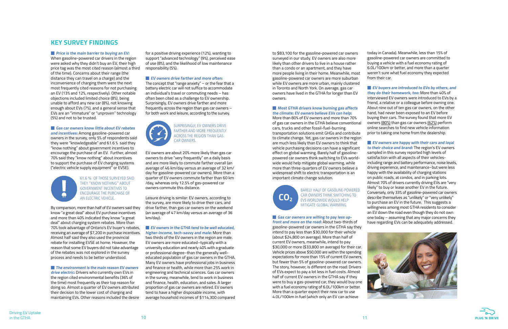today in Canada). Meanwhile, less than 15% of gasoline-powered car owners are committed to buying a vehicle with a fuel economy rating of 6.0L/100km or better, and more than a quarter weren't sure what fuel economy they expected from their car.

#### **EV buyers are introduced to EVs by others, and they do their homework, too:** More than 40% of

#### **EV owners are happy with their cars and loyal to their choice and brand:** The region's EV owners

interviewed EV owners were introduced to EVs by a friend, a relative or a colleague before owning one. About nine out of ten gas car owners, on the other hand, had never been exposed to an EV before buying their cars. The survey found that more EV owners (80%) than gas car owners (62%) perform online searches to find new vehicle information prior to taking one home from the dealership.

**Price is the main barrier to buying an EV:** When gasoline-powered car drivers in the region were asked why they didn't buy an EV, their high price tag was the most cited reason (almost a third of the time). Concerns about their range (the distance they can travel on a charge) and the inconvenience of charging them were the next most frequently cited reasons for not purchasing an EV (13% and 12%, respectively). Other notable objections included limited choice (8%), being unable to afford any new car (8%), not knowing enough about EVs (7%), and a general sense that EVs are an "immature" or "unproven" technology (5%) and not to be trusted.

> sampled in this survey reported high levels of satisfaction with all aspects of their vehiclesincluding range and battery performance, noise levels, driving experience, and maintenance–but were less happy with the availability of charging stations on public roads, at condos, and in parking lots. Almost 70% of drivers currently driving EVs are "very likely" to buy or lease another EV in the future. Conversely, only 33% of gasoline-powered car owners describe themselves as "unlikely" or "very unlikely" to purchase an EV in the future. This suggests a willingness among most GTHA residents to consider an EV down the road even though they do not own one today – assuming that any major concerns they have regarding EVs can be adequately addressed.





**Gas car owners know little about EV rebates and incentives:** Among gasoline-powered car owners in the survey, only 5% of respondents said they were "knowledgeable" and 61.6 % said they "know nothing" about government incentives to encourage the purchase of an EV. Further, almost 70% said they "know nothing" about incentives to support the purchase of EV charging systems ("electric vehicle supply equipment" or EVSE).

# **KEY SURVEY FINDINGS**

**n** The environment is the main reason EV owners **drive electric:** Drivers who currently own EVs in the region cited environmental benefits (36% of the time) most frequently as their top reason for doing so. Almost a quarter of EV owners attributed their decision to the lower cost of charging and maintaining EVs. Other reasons included the desire

The concept that "range anxiety"  $-$  or the fear that a battery electric car will not suffice to accommodate an individual's travel or commuting needs – has often been cited as a challenge to EV ownership. Surprisingly, EV owners drive farther and more frequently across the region than gas car owners – for both work and leisure, according to the survey.



**N** EV owners in the GTHA tend to be well educated, **higher-income, tech-savvy and male:** More than

By comparison, more than half of EV owners said they know "a great deal" about EV purchase incentives and more than 40% indicated they know "a great deal" about charging system rebates. More than 70% took advantage of Ontario's EV buyer's rebates, receiving an average of \$7,200 in purchase incentives. Almost half said they also used the provincial rebate for installing EVSE at home. However, the reason that some EV buyers did not take advantage of the rebates was not explored in the survey process and needs to be better understood.

#### **Most GTHA drivers know burning gas affects the climate; EV owners believe EVs can help:**

for a positive driving experience (12%), wanting to support "advanced technology" (9%), perceived ease of use (8%), and the likelihood of low maintenance responsibility (5%).

#### **EV** owners drive farther and more often:

**Gas car owners are willing to pay less upfront and more on the road:** About two-thirds of gasoline-powered car owners in the GTHA say they intend to pay less than \$30,000 for their vehicle (about \$24,800 on average). More than half of current EV owners, meanwhile, intend to pay \$30,000 or more (\$33,800 on average) for their car. Vehicle prices above \$50,000 are within the spending expectations for more than 15% of current EV owners, but fewer than 5% of gasoline-powered car owners. The story, however, is different on the road: Drivers of EVs expect to pay a lot less in fuel costs. Almost half of current EV owners in the GTHA say if they were to buy a gas-powered car, they would buy one with a fuel economy rating of 6.0L/100km or better. More than a quarter expect their new car to use 4.0L/100km in fuel (which only an EV can achieve

61.6 % OF THOSE SURVEYED SAID THEY "KNOW NOTHING" ABOUT GOVERNMENT INCENTIVES TO ENCOURAGE THE PURCHASE OF AN FLECTRIC VEHICLE

Driving EV Uptake<br>in the GTHA

EV owners are about 20% more likely than gas car owners to drive "very frequently" on a daily basis and are more likely to commute farther overall (an average of 46 km/day versus an average of 32 km/ day for gasoline-powered car owners). More than a quarter of EV owners commute farther than 60 km /day, whereas only 12.5% of gas-powered car owners commute this distance.

Leisure driving is similar: EV owners, according to the survey, are more likely to drive their cars, and drive farther, than gas car owners on the weekend (an average of 47 km/day versus an average of 36 km/day).

two thirds of the EV owners in the region are male. EV owners are more educated–typically with a university education and nearly 40% with a graduate or professional degree–than the generally welleducated population of gas car owners in the GTHA. Many EV owners have professional jobs in business and finance or health, while more than 25% work in engineering and technical sciences. Gas car owners in the survey, meanwhile, tend to work in business and finance, health, education, and sales. A larger proportion of gas car owners are retired. EV owners tend to have a higher disposable income, with average household incomes of \$114,300 compared

to \$83,100 for the gasoline-powered car owners surveyed in our study. EV owners are also more likely than other drivers to live in a house rather than a condo or an apartment, and they have more people living in their home. Meanwhile, most gasoline-powered car owners are more suburban while EV owners are more urban, mainly clustered in Toronto and North York. On average, gas car owners have lived in the GTHA for longer than EV owners.

More than 80% of EV owners and more than 70% of gas car owners in the GTHA believe conventional cars, trucks and other fossil-fuel-burning transportation solutions emit GHGs and contribute to climate change. Yet, gas car owners in the region are much less likely than EV owners to think that vehicle purchasing decisions can have a significant effect on global warming. Barely half of gasolinepowered car owners think switching to EVs worldwide would help mitigate global warming, while more than three-quarters of EV owners believe a widespread shift to electric transportation is an important climate change solution.

SURPRISINGLY, EV OWNERS DRIVE FARTHER AND MORE FREQUENTLY ACROSS THE REGION THAN GAS CAR OWNERS.

> BARELY HALF OF GASOLINE-POWERED CAR OWNERS THINK SWITCHING TO EVS WORLDWIDE WOULD HELP MITIGATE GLOBAL WARMING.

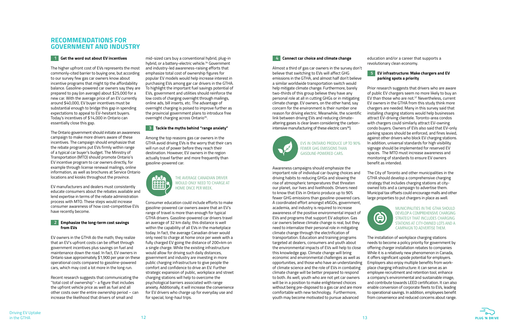## **RECOMMENDATIONS FOR GOVERNMENT AND INDUSTRY**

#### **1 Get the word out about EV incentives**

The higher upfront cost of EVs represents the most commonly-cited barrier to buying one, but according to our survey few gas car owners know about incentive programs that might tip the affordability balance. Gasoline-powered car owners say they are prepared to pay (on average) about \$25,000 for a new car. With the average price of an EV currently around \$40,000, EV buyer incentives must be substantial enough to bridge this gap in spending expectations to appeal to EV-hesitant buyers. Today's incentives of \$14,000 in Ontario can essentially close this gap.

The Ontario government should initiate an awareness campaign to make more drivers aware of these incentives. The campaign should emphasize that the rebate programs put EVs firmly within range of a typical car buyer's budget. The Ministry of Transportation (MTO) should promote Ontario's EV incentive program to car owners directly, for example through license renewal mailings, online information, as well as brochures at Service Ontario locations and kiosks throughout the province.

EV manufacturers and dealers must consistently educate consumers about the rebates available and lend expertise in terms of the rebate administration process with MTO. These steps would increase consumer awareness of how cost-competitive EVs have recently become.

#### **2 Emphasize the long-term cost savings from EVs**

EV owners in the GTHA do the math; they realize that an EV's upfront costs can be offset through government incentives plus savings on fuel and maintenance down the road. In fact, EV owners in Ontario save approximately \$1,900 per year on these operational costs compared to gasoline-powered cars, which may cost a lot more in the long run.

Recent research suggests that communicating the ''total cost of ownership''– a figure that includes the upfront vehicle price as well as fuel and all other costs over the entire ownership period – can increase the likelihood that drivers of small and

Almost a third of gas car owners in the survey don't believe that switching to EVs will affect GHG emissions in the GTHA, and almost half don't believe a similar worldwide transportation switch would help mitigate climate change. Furthermore, barely two-thirds of this group believe they have any personal role at all in cutting GHGs or in mitigating climate change. EV owners, on the other hand, say concern for the environment is their number one reason for driving electric. Meanwhile, the scientific link between driving EVs and reducing climatealtering gases is clear (even considering the carbonintensive manufacturing of these electric cars $36$ ).



education and/or a career that supports a revolutionary clean economy.



#### **5 EV infrastructure: Make chargers and EV parking spots a priority**

Prior research suggests that drivers who are aware of public EV chargers seem no more likely to buy an EV than those who are not. $37$  Nevertheless, current EV owners in the GTHA from this study think more chargers are needed. Many in this survey said that installing charging stations would help businesses attract EV-driving clientele. Toronto-area condos with chargers could similarly attract EV-owning condo buyers. Owners of EVs also said that EV-only parking spaces should be enforced, and fines levied, against other drivers who block EV charging stations. In addition, universal standards for high visibility signage should be implemented for reserved EV spaces. The MTO must increase awareness and monitoring of standards to ensure EV owners benefit as intended.

mid-sized cars buy a conventional hybrid, plug-in hybrid, or a battery-electric vehicle.<sup>34</sup> Government and industry-led awareness-raising efforts that emphasize total cost of ownership figures for popular EV models would help increase interest in purchasing EVs among gar car drivers in the GTHA. To highlight the important fuel savings potential of EVs, government and utilities should reinforce the low costs of charging overnight through mailings, online ads, bill inserts, etc. The advantage of overnight charging is poised to improve further as the provincial government plans to introduce free overnight charging across Ontario<sup>35</sup>.

> The City of Toronto and other municipalities in the GTHA should develop a comprehensive charging strategy that includes charging stations at cityowned lots and a campaign to advertise them. Municipal tax offsets could encourage malls and other large properties to put chargers in place as well.



The installation of workplace charging stations needs to become a policy priority for government by offering charger installation rebates to companies While it is a relatively new phenomenon in Canada, it offers significant upside potential for employers. Employers also enjoy multiple benefits from workplace charging infrastructure: it can serve as an employee recruitment and retention tool, enhance a company's environmental and sustainable image, and contribute towards LEED certification. It can also enable conversion of corporate fleets to EVs, leading to operational savings. In addition, employees benefit from convenience and reduced concerns about range.

MUNICIPALITIES IN THE GTHA SHOULD DEVELOP A COMPREHENSIVE CHARGING STRATEGY THAT INCLUDES CHARGING STATIONS AT CITY-OWNED LOTS AND A CAMPAIGN TO ADVERTISE THEM.



**4 Connect car choice and climate change**

Awareness campaigns should emphasize the important role of individual car-buying choices and driving habits to reducing GHGs and slowing the rise of atmospheric temperatures that threaten our planet, our lives and livelihoods. Drivers need to know that EVs in Ontario produce up to 90% fewer GHG emissions than gasoline-powered cars. A coordinated effort amongst eNGOs, government, academia, and industry is required to increase awareness of the positive environmental impact of EVs and programs that support EV adoption. Gas car owners believe climate change is real, but they need to internalize their personal role in mitigating climate change through the electrification of transportation. Education and training programs targeted at dealers, consumers and youth about the environmental impacts of EVs will help to close this knowledge gap. Climate change will bring economic and environmental challenges as well as opportunities, and those who have an understanding of climate science and the role of EVs in combating climate change will be better prepared to respond to both. As well, youth who are not yet car owners will be in a position to make enlightened choices without being pre-disposed to a gas car and are more comfortable with new technology. Furthermore, youth may become motivated to pursue advanced

EVS IN ONTARIO PRODUCE UP TO 90% FEWER GHG EMISSIONS THAN GASOLINE-POWERED CARS.

#### **3 Tackle the myths behind "range anxiety"**

Among the top reasons gas car owners in the GTHA avoid driving EVs is the worry that their cars will run out of power before they reach their destination. However, EV owners in the region actually travel farther and more frequently than gasoline-powered car.

Consumer education could include efforts to make gasoline-powered car owners aware that an EV's range of travel is more than enough for typical GTHA drivers. Gasoline-powered car drivers travel an average of 32 km daily; this distance is well within the capability of all EVs in the marketplace today. In fact, the average Canadian driver would only need to charge at home once per week with a fully charged EV going the distance of 200+km on a single charge. While the existing infrastructure would allow for driving such daily distances, government and industry are investing in more public charging infrastructure to give people the comfort and confidence to drive an EV. Further strategic expansion of public, workplace and street charging stations will help to overcome the psychological barriers associated with range anxiety. Additionally, it will increase the convenience for EV drivers who charge up for everyday use and for special, long-haul trips.



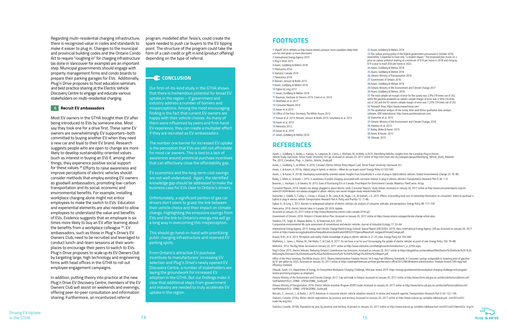program, modelled after Tesla's, could create the spark needed to push car buyers to the EV tipping point. The structure of the program could take the form of a cash credit or gift in kind (product offering) depending on the type of referral.

### **CONCLUSION**

Our first-of-its-kind study in the GTHA shows that there is tremendous potential for broad EV uptake in the region – if government and industry address a number of barriers and misperceptions. Among the most encouraging finding is the fact that current EV owners are happy with their vehicle choices. As many of them were influenced by peers and first-hand EV experience, they can create a multiplier effect if they are recruited as EV ambassadors.

The number one barrier for increased EV uptake is the perception that EVs are still not affordable for most car owners. This is tied to a lack of awareness around provincial purchase incentives that can effectively close the affordability gap.

EV economics and the long-term cost savings are not well understood. Again, the identified knowledge gap should be addressed to make the business case for EVs clear to Ontario's drivers.

Unfortunately, a significant portion of gas car drivers don't seem to grasp the link between their vehicle choice and their impact on climate change. Highlighting the emissions savings from EVs and the link to Ontario's energy mix will go a long way in overcoming this misperception.

This should go hand-in-hand with prioritizing public charging infrastructure and reserved EV parking spots.

From Ontario's attractive EV purchase incentives to manufacturers' increasing EV selection and Plug'n Drive's newly opened EV Discovery Centre, a number of stakeholders are laying the groundwork for increased EV adoption in the GTHA. But our findings make it clear that additional steps from government and industry are needed to truly accelerate EV uptake in the region.

# **REFERENCES**

Axsen, J., Goldberg, S., Bailey, J., Kamiya, G., Langman, B., Cairns, J., Wolinetz, W., & Miele, a.2015. Electrifying Vehicles: Insights from the Canadian Plug-in Electric Vehicle Study. Vancouver: Simon Fraser University. 201 pp. Accessed on January 20, 2017 online at http://rem-main.rem.sfu.ca/papers/jaxsen/Electrifying\_Vehicle\_(Early\_Release)- The\_2015\_Canadian\_Plug- n\_Electric\_Vehicle\_Study.pdf

Axsen, J., Goldberg, S., & Milton, N. 2016. Canada's Electric Vehicle Policy Report Card. Simon Fraser University: Vancouver, B.C. Axsen, J., & Kurani, K. 2013a. Hybrid, plug-in hybrid, or electric—What do car buyers want? Energy Policy 61:532-543 Axsen, J., & Kurani, K. 2013b. Developing sustainability-oriented values: Insights from households in a trial of plug-in hybrid electric vehicles. Global Environmental Change 23: 70–80. Bailey, J., Miele, A., & Axsen, J. 2015. Is awareness of public charging associated with consumer interest in plug-in electric vehicles? Transportation Research Part D 36: 1-9. Bauman, J., Hacikyan, S. & Stevens, M. 2015. Ease of Purchasing EVs in Canada: Final Report for Environment Canada. Waterloo: FleetCarma. 44 pp. Consumer Reports. 2014. Dealers not always plugged in about electric cards, Consumer Reports' study reveals. Accessed on January 20, 2017 online at http://www.consumerreports.org/cro/ news/2014/04/dealers-not-always-plugged-in-about- electric-cars-secret-shopper-study-reveals/index.htm. Dumortier, J., Siddiki, S., Carley, S., Cisney, J., Krause, R. M., Lane, B. W., Rupp, J. A., & Graham, J. D. 2015. Effects of providing total cost of ownership information on consumers' intent to purchase a hybrid or plug-in electric vehicle. Transportation Research Part A: Policy and Practice 72: 71-86.

Egbue, O., & Long, S. 2012. Barriers to widespread adoption of electric vehicles: An analysis of consumer attitudes and perceptions. Energy Policy 48: 717–729. Fleetcarma. 2016. Electric Vehicle Sales in Canada: Q3 2016 Update.

Accessed on January 20, 2017 online at http://www.fleetcarma.com/ev-sales-canada-2016-q3/ Government of Ontario. 2016. Ontario's Climate Action Plan. Accessed on January 20, 2017 online at https://www.ontario.ca/page/climate-change-action-plan. Hawkins, T.R., Singh, B., Majeau-Bettez, G., & Strømman, A.H. 2013.

Comparative environmental life cycle assessment of conventional and electric vehicles. Journal of Industrial Ecology 17: 53–64. International Energy Agency. 2015. Energy and Climate Change World Energy Outlook Special Report (OECD/IEA, 2015). Paris: International Energy Agency. 200 pp. Accessed on January 20, 2017 online at https://www.iea.org/publications/freepublications/publication/WEO2015SpecialReportonE nergyandClimateChange.pdf. Krause, R.M., et al. 2013. Perception and reality: Public knowledge of plug-in electric vehicles in 21 US cities. Energy Policy 63: 433-440.

Matthews, L., Lynes, J., Riemer, M., Del Matto, T., & Cloet, N. 2017. Do we have a car for you? Encouraging the uptake of electric vehicles at point of sale. Energy Policy 100: 79–88. Metrolinx. 2012. The Big Move. Accessed on January 20, 2017 online at http://www.metrolinx.com/thebigmove/en/introduction/1\_2\_GTHA.aspx.

Plug'n Drive. 2015. Electric Vehicles: Reducing Ontario's Greenhouse Gas Emissions. Accessed on January 20, 2017 online at https://plugndrive.ca/sites/default/files/Electric%20Vehicles%20-%20 Reducing%20Ontario's%20Greenhouse%20Gas%20Emissions%20-%20A%20Plug'n%20Drive%20Report.pdf. Office of the Press Secretary, The White House. 2012. Obama Administration Finalizes Historic 54.5 mpg Fuel Efficiency Standards, in Consumer savings comparable to lowering price of gasoline by \$1 per gallon by 2025. Accessed on January 20, 2017 online at https://obamawhitehouse.archives.gov/the-press-office/2012/08/28/obama-administration- finalizes-historic-545-mpg-fuelefficiency-standard.

Olexsak, Sarah, U.S. Department of Energy, EV Everywhere Workplace Charging Challenge, Mid-year review 2015. https://energy.gov/eere/articles/workplace-charging-challenge-mid-programreview-promising-progress-us-employers

Ontario Ministry of the Environment and Climate Change. 2017. Cap and trade in Ontario. Accessed on January 20, 2017 online at http://www.forms.ssb.gov.on.ca/mbs/ssb/forms/ssbforms.nsf/ GetFileAttach/023- 2096E~3/\$File/2096E\_Guide.pdf.

Ontario Ministry of Transportation. 2016. Electric Vehicle Incentive Program (EVIP) Guide. Accessed on January 20, 2017 online at http://www.forms.ssb.gov.on.ca/mbs/ssb/forms/ssbforms.nsf/ GetFileAttach/023- 2096E~3/\$File/2096E\_Guide.pdf.

Rezvani, Z., Jansson, J., & Bodin, J. 2015. Advances in consumer electric vehicle adoption research: A review and research agenda. Transportation Research Part D 34: 122–136. Statistics Canada. 2016a. Motor vehicle registrations, by province and territory. Accessed on January 20, 2017 online at http://www.statcan.gc.ca/tables-tableaux/sum- som/l01/cst01/ trade14a-eng.htm

Statistics Canada. 2016b. Population by year, by province and territory. Accessed on January 20, 2017 online at http://www.statcan.gc.ca/tables-tableaux/sum-som/l01/cst01/demo02a- eng.ht

### **FOOTNOTES**

| 1 Papoff, 2014. Wheels.ca http://www.wheels.ca/news/ most-canadians-keep-their-<br>cars-for-nine-years-or-more-desrosiers/ | 22Ax             |
|----------------------------------------------------------------------------------------------------------------------------|------------------|
| 2 International Energy Agency 2015                                                                                         | 23 Th<br>mean    |
| 3 Plug'n Drive 2015                                                                                                        | price            |
| 4 Axsen, Goldberg & Melton 2016                                                                                            | \$10 a           |
| 5 Fleetcarma 2016                                                                                                          | 24Ax             |
| 6 Statistics Canada 2016                                                                                                   | 25Ax             |
| 7 Fleetcarma 2016                                                                                                          | 26 Or            |
| 8 Rezvani, Jansson & Bodin 2015                                                                                            | 27 <sub>50</sub> |
| 9 Axsen, Goldberg & Melton 2016                                                                                            | 28 Ax            |
| 10 Egbue & Long 2012                                                                                                       | 29 Or            |
| 11 Axsen, Goldberg & Melton 2016                                                                                           | 30Ax             |
| 12 Bauman, Hacikyan & Stevens 2015; Cloet et al. 2014                                                                      | 31 Th            |
| 13 Matthews et al. 2017                                                                                                    | while            |
| 14 Consumer Reports 2014                                                                                                   | out of           |
| <b>15</b> Axsen et al 2015                                                                                                 | 32 Re            |
| 16 Office of the Press Secretary, The White House 2012                                                                     | 33 Th<br>softwa  |
|                                                                                                                            | 34 Du            |
| 17 Krause et al. 2013; Rezvani, Jansson & Bodin 2015; Schuitema et al. 2013                                                | 35 Or            |
| <b>18</b> Axsen et al. 2015                                                                                                | 36 Ha            |
| 19 Metrolinx 2012                                                                                                          | 37Ba             |
| 20 Axsen et al. 2015                                                                                                       | 38 Ax            |
| 21 Axsen, Goldberg & Melton 2016                                                                                           | 39 OI            |
|                                                                                                                            |                  |

 Axsen, Goldberg & Melton 2016 The carbon pricing policy of the federal government announced in October 2016, while, is expected to have only "a modest impact." The proposed plan insists on a on carbon pollution starting at a minimum of \$10 per tonne in 2018 and rising by year to reach \$50 per tonne in 2022. Axsen, Goldberg & Melton 2016 Axsen, Goldberg & Melton 2016 Ontario Ministry of Transportation 2016 Government of Ontario 2016 Axsen, Goldberg & Melton 2016 Ontario Ministry of the Environment and Climate Change 2017 Axsen, Goldberg & Melton, 2016 The total sample set margin of error for the survey was 2.9% (19 times out of 20), the gasoline-powered car owners sample margin of error was 3.16% (19 times 120) and the EV owners sample margin of error was 7.23% (19 times out of 20). Research Now. https://www.researchnow.com/ The qualitative analysis of the survey data used NVivo qualitative data analysis are. QSR International. http://www.qsrinternational.com/ Dumortier et al. 2015 Ontario Ministry of the Environment and Climate Change, 2016 Hawkins et al. 2013 Bailey, Miele & Axsen. 2015 Axsen & Kurani. 2013

**39** Olexsak, 2015



Regarding multi-residential charging infrastructure, there is recognized value in codes and standards to make it easier to plug in. Changes to the municipal and provincial building codes and the Ontario Condo Act to require "roughing in" for charging infrastructure (as done in Vancouver for example) are an important step. Municipal governments should engage with property management firms and condo boards to prepare their parking garages for EVs. Additionally, Plug'n Drive proposes to host education seminars and best practice sharing at the Electric Vehicle Discovery Centre to engage and educate various stakeholders on multi-residential charging.

#### **6 Recruit EV ambassadors**

Most EV owners in the GTHA bought their EV after being introduced to EVs by someone else. Most say they took one for a drive first. These same EV owners are overwhelmingly EV supporters–both committed to buying another EV when they need a new car and loyal to their EV brand. Research suggests people who are open to change are more likely to develop sustainability-oriented values (such as interest in buying an EV) if, among other things, they experience positive social support for these values.<sup>38</sup> Efforts to raise awareness and improve perceptions of electric vehicles should consider methods that employ existing EV owners as goodwill ambassadors, promoting low-carbon transportation and its social, economic and environmental benefits. For example, installing workplace charging alone might not entice employees to make the switch to EVs. Education and experiential elements are also needed to allow employees to understand the value and benefits of EVs. Evidence suggests that an employee is six times more likely to buy an EV after learning about the benefits from a workplace colleague 39. EV ambassadors, such as those in Plug'n Drive's EV Owners Club, need to be recruited and leveraged to conduct lunch-and-learn sessions at their workplaces to encourage their peers to switch to EVs. Plug'n Drive proposes to scale up its EV Owners Club by targeting large, high technology and engineering firms with head offices in the GTHA to roll out employee engagement campaigns.

In addition, putting theory into practice at the new Plug'n Drive EV Discovery Centre, members of the EV Owners Club will assist on weekends and evenings, offering peer-to-peer consultation and information sharing. Furthermore, an incentivized referral